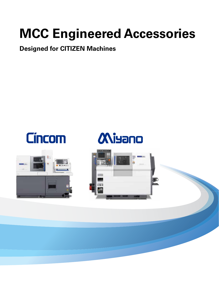# **MCC Engineered Accessories**

# **Designed for CITIZEN Machines**





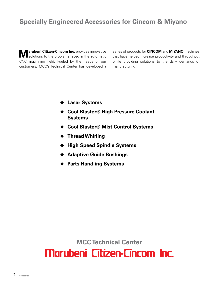**Marubeni Citizen-Cincom Inc.** provides innovative solutions to the problems faced in the automatic CNC machining field. Fueled by the needs of our customers, MCC's Technical Center has developed a

series of products for **CINCOM** and **MIYANO** machines that have helped increase productivity and throughput while providing solutions to the daily demands of manufacturing.

- **▶ Laser Systems**
- ◆ Cool Blaster<sup>®</sup> High Pressure Coolant **Systems**
- ◆ Cool Blaster<sup>®</sup> Mist Control Systems
- ◆ Thread Whirling
- ◆ High Speed Spindle Systems
- ◆ Adaptive Guide Bushings
- ◆ Parts Handling Systems

**MCC Technical Center**Marubení Cítizen-Cincom Inc.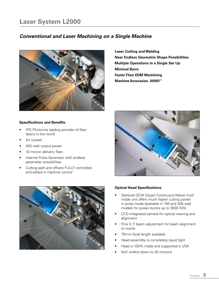# **Laser System L2000**

### *Conventional and Laser Machining on a Single Machine*



**Laser Cutting and Welding Near Endless Geometric Shape Possibilities Multiple Operations in a Single Set Up Minimal Burrs Faster Than EDM Machining Machine Accuracies .00001"**

#### **Specifications and Benefits**

- IPG Photonics leading provider of fiber lasers in the world
- Air cooled
- 400 watt output power
- 10 micron delivery fiber
- Internal Pulse Generator with endless parameter possibilities
- Cutting path and offsets FULLY controlled and edited in machine control





#### **Optical Head Specifications**

- Optional QCW (Quasi Continuous Wave) multi mode unit offers much higher cutting power in pulse mode (available in 150 and 300 watt models for power bursts up to 3000 KW)
- CCD integrated camera for optical viewing and alignment
- Fine X, Y beam adjustment for beam alignment to nozzle
- 75mm focal length available
- Head assembly is completely liquid tight
- Head is 100% made and supported in USA
- Kerf widths down to 20 microns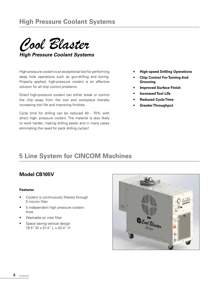*Cool Blaster*

*High Pressure Coolant Systems*

High-pressure coolant is an exceptional tool for performing deep hole operations such as gun-drilling and boring. Properly applied, high-pressure coolant is an effective solution for all chip control problems.

Direct high-pressure coolant can either break or control the chip away from the tool and workpiece thereby increasing tool life and improving finishes.

Cycle time for drilling can be reduced 40 - 70% with direct high- pressure coolant. The material is less likely to work harder, making drilling easier and in many cases eliminating the need for peck drilling cycles!

- **• High-speed Drilling Operations**
- **• Chip Control For Turning And Grooving**
- **• Improved Surface Finish**
- **• Increased Tool Life**
- **• Reduced Cycle Time**
- **• Greater Throughput**

## **5 Line System for CINCOM Machines**

### **Model CB105V**

- Coolant is continuously filtered through 5 micron filter
- 5 independent high pressure coolant lines
- Washable air inlet filter
- Space saving vertical design 19.5" W x 51.4" L x 43.4" H

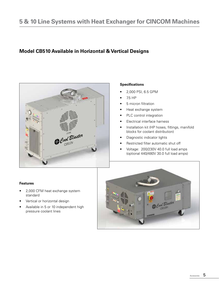# **5 & 10 Line Systems with Heat Exchanger for CINCOM Machines**

### **Model CB510 Available in Horizontal & Vertical Designs**



#### **Specifications**

- 2,000 PSI, 6.5 GPM
- 7.5 HP
- 5 micron filtration
- Heat exchange system
- PLC control integration
- Electrical interface harness
- Installation kit (HP hoses, fittings, manifold blocks for coolant distribution)
- Diagnostic indicator lights
- Restricted filter automatic shut off
- Voltage: 200/230V 40.0 full load amps (optional 440/480V 30.0 full load amps)

- 2,000 CFM heat exchange system standard
- Vertical or horizontal design
- Available in 5 or 10 independent high pressure coolant lines

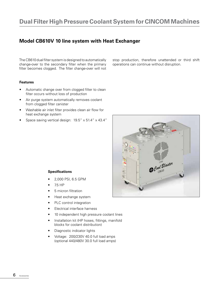### **Model CB610V 10 line system with Heat Exchanger**

The CB610 dual filter system is designed to automatically change-over to the secondary filter when the primary filter becomes clogged. The filter change-over will not

#### **Features**

- Automatic change over from clogged filter to clean filter occurs without loss of production
- Air purge system automatically removes coolant from clogged filter canister
- Washable air inlet filter provides clean air flow for heat exchange system
- Space saving vertical design: 19.5" x 51.4" x 43.4"

stop production, therefore unattended or third shift operations can continue without disruption.



#### **Specifications**

- 2,000 PSI, 6.5 GPM
- 7.5 HP
- 5 micron filtration
- Heat exchange system
- PLC control integration
- Electrical interface harness
- 10 independent high pressure coolant lines
- Installation kit (HP hoses, fittings, manifold blocks for coolant distribution)
- Diagnostic indicator lights
- Voltage: 200/230V 40.0 full load amps (optional 440/480V 30.0 full load amps)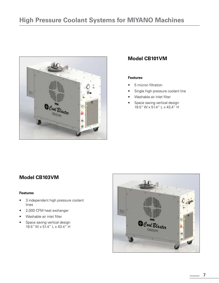

### **Model CB101VM**

#### **Features**

- 5 micron filtration
- Single high pressure coolant line
- Washable air inlet filter
- Space saving vertical design 19.5" W x 51.4" L x 43.4" H

## **Model CB103VM**

- 3 independent high pressure coolant lines
- 2,000 CFM heat exchanger
- Washable air inlet filter
- Space saving vertical design 19.5" W x 51.4" L x 43.4" H

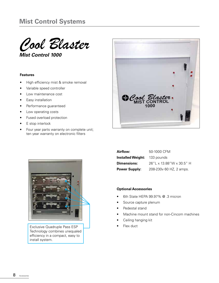

*Mist Control 1000*

#### **Features**

- High efficiency mist & smoke removal
- Variable speed controller
- Low maintenance cost
- Easy installation
- Performance guaranteed
- Low operating costs
- Fused overload protection
- E stop interlock
- Four year parts warranty on complete unit; ten year warranty on electronic filters





Exclusive Quadruple Pass ESP Technology combines unequaled efficiency in a compact, easy to install system.

| Airflow:                            | 50-1000 CFM              |
|-------------------------------------|--------------------------|
| <b>Installed Weight:</b> 133 pounds |                          |
| <b>Dimensions:</b>                  | 26"L x 13.88"W x 30.5" H |
| <b>Power Supply:</b>                | 208-230v 60 HZ, 2 amps.  |

#### **Optional Accessories**

- 6th State HEPA 99.97% @ .3 micron
- Source capture plenum
- Pedestal stand
- Machine mount stand for non-Cincom machines
- Ceiling hanging kit
- Flex duct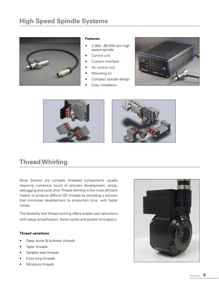# **High Speed Spindle Systems**



#### **Features**

- 2,000 80,000 rpm high speed spindle
- Control unit
- Custom interface
- Air control unit
- Mounting kit
- Compact spindle design
- Easy installation







# **Thread Whirling**

Bone Screws are complex threaded components usually requiring numerous hours of process development, setup, debugging and cycle time. Thread whirling is the most efficient means to produce difficult OD threads by providing a solution that minimizes development to production time, with faster cycles.

The flexibility that thread whirling offers enable cost reductions with setup simplification, faster cycles and greater throughput.

#### **Thread variations**

- Deep acme & buttress threads
- Taper threads
- Variable lead threads
- Extra long threads
- Miniature threads

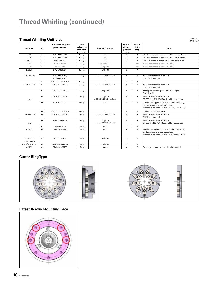#### **Thread Whirling Unit List**

Rev.1.2.2 6/20/2017

| Machine                                   | No.                     | Thread whirling unit<br>[Part number] | Max<br>adiustment<br>amount of<br><b>Helix angle</b> | <b>Mounting position</b>                       | Max No.<br>of Cross<br>spindle on<br>Gang | Type of<br>Cutter<br>Ring | Note                                                                                                                                          |
|-------------------------------------------|-------------------------|---------------------------------------|------------------------------------------------------|------------------------------------------------|-------------------------------------------|---------------------------|-----------------------------------------------------------------------------------------------------------------------------------------------|
| A <sub>2</sub> 20                         | $\mathbf{1}$            | BTW-2000-A220                         | 25 deg.                                              | T <sub>09</sub>                                | $\overline{2}$                            | A                         | BDF2005 needs to be removed. T08 is not available.                                                                                            |
| A <sub>3</sub> 20                         | $\overline{2}$          | BTW-2000-A320                         | 25 deg.                                              | T <sub>09</sub>                                | $\overline{2}$                            | $\overline{A}$            | BDF2007 needs to be removed. T08 is not available.                                                                                            |
| A32/A232                                  | $\overline{\mathbf{3}}$ | BTW-2000-A32                          | 25 deg.                                              | T10                                            | $\overline{2}$                            | A                         | GDF9101 needs to be removed. T09 is not available.                                                                                            |
| K16F                                      | $\varDelta$             | GSW-101-000                           | 15 deg.                                              | T13 (+T12,T14)                                 | 1                                         |                           | TW holder vendor is PCM (Gen Swiss)                                                                                                           |
| L12                                       | 5                       | LSW-515-000                           | 15 deg.                                              | T10 (+T09)                                     | $\overline{2}$                            | $\overline{\phantom{0}}$  | TW holder vendor is PCM (Gen Swiss)                                                                                                           |
| L720VIII                                  | 6                       | BTW-1000-L720                         | 25 deg.                                              | T10 (+T09)                                     | 3                                         | A                         |                                                                                                                                               |
| L20EIX/L20X                               | $\overline{7}$          | BTW-3000-L20E/<br>BTW-3000-L20X       | 15 deg.                                              | T13 (+T12) on GSE3110                          | 5                                         | B                         | Need to mount GSD106 on T12.<br>GSE3110 is required.                                                                                          |
|                                           | 8                       | BTW-2000-L2032-T810                   | 25 deg.                                              | T <sub>11</sub>                                | 4                                         | A                         |                                                                                                                                               |
| L220VIII, L220X                           | 9                       | BTW-3100-L220-L32                     | 15 deg.                                              | T13 (+T12) on GSE3210                          | 5                                         | B                         | Need to mount GSD107 on T12.<br>GSE3210 is required.                                                                                          |
|                                           | 10                      | BTW-2000-L220-T12                     | 15 deg.                                              | T09 (+T08)                                     | 5                                         | $\mathsf{A}$              | Many possibilities depends on B-axis angles.<br>Consult MCC.                                                                                  |
| L <sub>2</sub> 20XII                      | 11                      | BTW-3100-L220-L32                     | 15 deg.                                              | $T13 (+T12)$<br>on BT-GSE-L220-T12 with B-axis | 4                                         | B.                        | Need to mount GSD107 on T12.<br>BT-GSE-L220-T12-ASM (B-axis Holder) is required.                                                              |
|                                           | 12                      | BTW-5000-L220                         | 25 deg.                                              | B-axis                                         | 3                                         | $\mathsf{A}$              | 4-additional tapped holes (Red marked on the Fig.)<br>on B-Axis mounting face is required.<br>Available from machine S/N: QF0218 (L220E/0224) |
|                                           | 13                      | BTW-2000-L2032-T810                   | 25 deg.                                              | T <sub>11</sub>                                | 4                                         | A                         | Cannot be used with U30B.                                                                                                                     |
| L32VIII. L32X                             | 14                      | BTW-3100-L220-L32                     | 15 deg.                                              | T13 (+T12) on GSE3210                          | 5                                         | B                         | Need to mount GSD107 on T12.<br>GSE3210 is required.                                                                                          |
| L32XII                                    | 15                      | BTW-3100-L32-B                        | 15 deg.                                              | $T13 (+T12)$<br>on BT-GSE-L32-T12 with B-axis  | 4                                         | B                         | Need to mount GSD107 on T12.<br>BT-GSE-L32-T12-ASM (B-axis Holder) is required.                                                               |
|                                           | 16                      | BTW-6000-L32                          | 25 deg.                                              | B-axis                                         | 3                                         | $\mathsf{A}$              |                                                                                                                                               |
| M <sub>416</sub> VIII                     | 17                      | BTW-5000-M416                         | 15 deg.                                              | B-axis                                         | 4                                         | $\mathsf{A}$              | 4-additional tapped holes (Red marked on the Fig.)<br>on B-Axis mounting face is required.<br>Available from machine S/N: P20143 (M416/0152)  |
| C <sub>2</sub> 20/32VIII<br>M320/32III, V | 18                      | BTW-1000-M32                          | 25 deg.                                              | T09 (+T08)                                     | $\overline{2}$                            | $\mathsf{A}$              |                                                                                                                                               |
| M420/32III, V, VII                        | 19                      | BTW-2000-M42032                       | 25 deg.                                              | T10 (+T09)                                     | 3                                         | A                         |                                                                                                                                               |
| M432VIII                                  | 20                      | BTW-4000-M432                         | 15 deg.                                              | B-axis                                         | 4                                         | B                         | Drive gear on B-axis unit needs to be changed.                                                                                                |

### **Cutter Ring Type**



#### **Latest B-Axis Mounting Face**

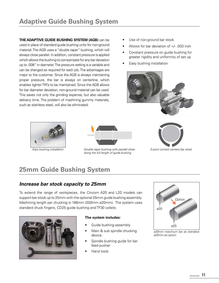**THE ADAPTIVE GUIDE BUSHING SYSTEM (AGB)** can be used in place of standard guide bushing units for non-ground material. The AGB uses a "double taper" bushing, which will always close parallel. In addition, constant pressure is applied which allows the bushing to compensate for any bar deviation up to .008" in diameter. The pressure setting is a variable and can be changed as required for each job. The advantages are major to the customer. Since the AGB is always maintaining proper pressure, the bar is always on centerline, which enables tighter TIR's to be maintained. Since the AGB allows for bar diameter deviation, non-ground material can be used. This saves not only the grinding expense, but also valuable delivery time. The problem of machining gummy materials, such as stainless steel, will also be eliminated.

- Use of non-ground bar stock
- Allows for bar deviation of  $+/-$  .003 inch
- Constant pressure on guide bushing for greater rigidity and uniformity of set up
- Easy bushing installation







*Double taper bushing with parallel close Easy bushing installation 3 point contact centers bar stock along the full length of guide bushing*



# **25mm Guide Bushing System**

### *Increase bar stock capacity to 25mm*

To extend the range of workpieces, the Cincom A20 and L20 models can support bar stock up to 25mm with the optional 25mm guide bushing assembly. Machining length per chucking is 188mm (200mm ø20mm). The system uses standard chuck fingers, CD25 guide bushing and TF30 collets.



#### **The system includes:**

- Guide bushing assembly
- Main & sub spindle chucking device
- Spindle bushing guide for bar feed pusher
- Hand tools



*ø20mm maximum bar as standard; ø25mm as option.*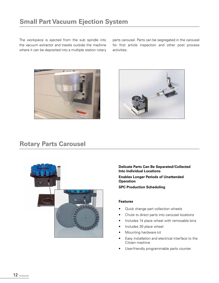The workpiece is ejected from the sub spindle into the vacuum extractor and travels outside the machine where it can be deposited into a multiple station rotary parts carousel. Parts can be segregated in the carousel for first article inspection and other post process activities.





# **Rotary Parts Carousel**



**Delicate Parts Can Be Separated/Collected Into Individual Locations**

**Enables Longer Periods of Unattended Operation**

**SPC Production Scheduling**

- Quick change part collection wheels
- Chute to direct parts into carousel locations
- Includes 14 place wheel with removable bins
- Includes 30 place wheel
- Mounting hardware kit
- Easy installation and electrical interface to the Citizen machine
- User-friendly programmable parts counter